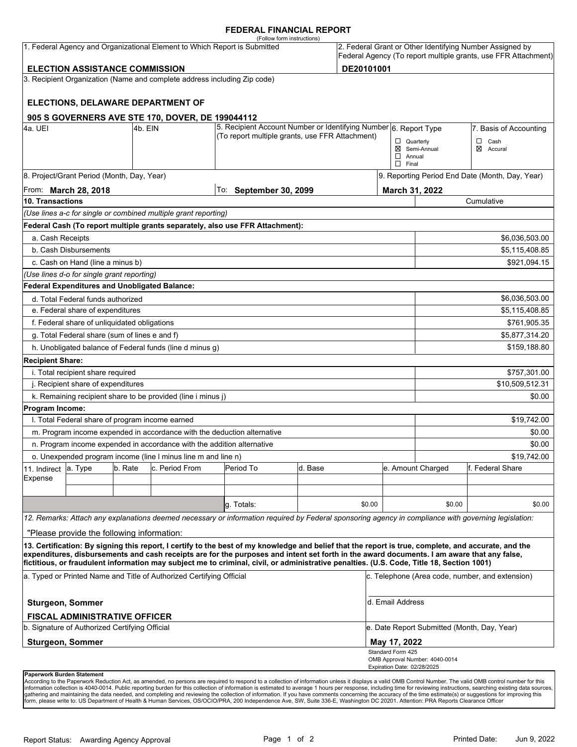#### **FEDERAL FINANCIAL REPORT**

|                                                                                                                                 |                                                      |         |                                                                                                                     | (Follow form instructions)                                                                                                                                                                                                                                                                                                                                                                                                                      |                           |                        |                                                                                                                            |                                                 |                          |  |  |
|---------------------------------------------------------------------------------------------------------------------------------|------------------------------------------------------|---------|---------------------------------------------------------------------------------------------------------------------|-------------------------------------------------------------------------------------------------------------------------------------------------------------------------------------------------------------------------------------------------------------------------------------------------------------------------------------------------------------------------------------------------------------------------------------------------|---------------------------|------------------------|----------------------------------------------------------------------------------------------------------------------------|-------------------------------------------------|--------------------------|--|--|
| 1. Federal Agency and Organizational Element to Which Report is Submitted                                                       |                                                      |         |                                                                                                                     |                                                                                                                                                                                                                                                                                                                                                                                                                                                 |                           |                        | 2. Federal Grant or Other Identifying Number Assigned by<br>Federal Agency (To report multiple grants, use FFR Attachment) |                                                 |                          |  |  |
| DE20101001<br><b>ELECTION ASSISTANCE COMMISSION</b><br>3. Recipient Organization (Name and complete address including Zip code) |                                                      |         |                                                                                                                     |                                                                                                                                                                                                                                                                                                                                                                                                                                                 |                           |                        |                                                                                                                            |                                                 |                          |  |  |
|                                                                                                                                 |                                                      |         |                                                                                                                     |                                                                                                                                                                                                                                                                                                                                                                                                                                                 |                           |                        |                                                                                                                            |                                                 |                          |  |  |
|                                                                                                                                 |                                                      |         | ELECTIONS, DELAWARE DEPARTMENT OF                                                                                   |                                                                                                                                                                                                                                                                                                                                                                                                                                                 |                           |                        |                                                                                                                            |                                                 |                          |  |  |
|                                                                                                                                 |                                                      |         | 905 S GOVERNERS AVE STE 170, DOVER, DE 199044112                                                                    |                                                                                                                                                                                                                                                                                                                                                                                                                                                 |                           |                        |                                                                                                                            |                                                 |                          |  |  |
| 4a. UEI<br>l4b. EIN                                                                                                             |                                                      |         | 5. Recipient Account Number or Identifying Number 6. Report Type<br>(To report multiple grants, use FFR Attachment) |                                                                                                                                                                                                                                                                                                                                                                                                                                                 |                           | 7. Basis of Accounting |                                                                                                                            |                                                 |                          |  |  |
|                                                                                                                                 |                                                      |         |                                                                                                                     |                                                                                                                                                                                                                                                                                                                                                                                                                                                 |                           |                        | $\Box$ Quarterly<br>$\Box$ Annual<br>$\Box$ Final                                                                          | ⊠ Semi-Annual                                   | $\Box$ Cash<br>⊠ Accural |  |  |
|                                                                                                                                 | 8. Project/Grant Period (Month, Day, Year)           |         |                                                                                                                     |                                                                                                                                                                                                                                                                                                                                                                                                                                                 |                           |                        |                                                                                                                            | 9. Reporting Period End Date (Month, Day, Year) |                          |  |  |
| From: March 28, 2018                                                                                                            |                                                      |         |                                                                                                                     | To:                                                                                                                                                                                                                                                                                                                                                                                                                                             | <b>September 30, 2099</b> |                        |                                                                                                                            | March 31, 2022                                  |                          |  |  |
| 10. Transactions                                                                                                                |                                                      |         |                                                                                                                     |                                                                                                                                                                                                                                                                                                                                                                                                                                                 |                           |                        |                                                                                                                            | Cumulative                                      |                          |  |  |
|                                                                                                                                 |                                                      |         | (Use lines a-c for single or combined multiple grant reporting)                                                     |                                                                                                                                                                                                                                                                                                                                                                                                                                                 |                           |                        |                                                                                                                            |                                                 |                          |  |  |
|                                                                                                                                 |                                                      |         |                                                                                                                     | Federal Cash (To report multiple grants separately, also use FFR Attachment):                                                                                                                                                                                                                                                                                                                                                                   |                           |                        |                                                                                                                            |                                                 |                          |  |  |
| a. Cash Receipts                                                                                                                |                                                      |         |                                                                                                                     |                                                                                                                                                                                                                                                                                                                                                                                                                                                 |                           |                        |                                                                                                                            |                                                 | \$6,036,503.00           |  |  |
|                                                                                                                                 | b. Cash Disbursements                                |         |                                                                                                                     |                                                                                                                                                                                                                                                                                                                                                                                                                                                 |                           |                        |                                                                                                                            | \$5,115,408.85                                  |                          |  |  |
|                                                                                                                                 | c. Cash on Hand (line a minus b)                     |         |                                                                                                                     |                                                                                                                                                                                                                                                                                                                                                                                                                                                 |                           |                        |                                                                                                                            |                                                 | \$921,094.15             |  |  |
|                                                                                                                                 | (Use lines d-o for single grant reporting)           |         |                                                                                                                     |                                                                                                                                                                                                                                                                                                                                                                                                                                                 |                           |                        |                                                                                                                            |                                                 |                          |  |  |
|                                                                                                                                 | <b>Federal Expenditures and Unobligated Balance:</b> |         |                                                                                                                     |                                                                                                                                                                                                                                                                                                                                                                                                                                                 |                           |                        |                                                                                                                            |                                                 |                          |  |  |
|                                                                                                                                 | d. Total Federal funds authorized                    |         |                                                                                                                     |                                                                                                                                                                                                                                                                                                                                                                                                                                                 |                           |                        |                                                                                                                            |                                                 | \$6,036,503.00           |  |  |
| e. Federal share of expenditures                                                                                                |                                                      |         |                                                                                                                     |                                                                                                                                                                                                                                                                                                                                                                                                                                                 |                           |                        | \$5,115,408.85                                                                                                             |                                                 |                          |  |  |
| f. Federal share of unliquidated obligations                                                                                    |                                                      |         |                                                                                                                     |                                                                                                                                                                                                                                                                                                                                                                                                                                                 |                           |                        | \$761,905.35                                                                                                               |                                                 |                          |  |  |
| g. Total Federal share (sum of lines e and f)                                                                                   |                                                      |         |                                                                                                                     |                                                                                                                                                                                                                                                                                                                                                                                                                                                 |                           |                        |                                                                                                                            |                                                 | \$5,877,314.20           |  |  |
| h. Unobligated balance of Federal funds (line d minus g)                                                                        |                                                      |         |                                                                                                                     |                                                                                                                                                                                                                                                                                                                                                                                                                                                 |                           |                        |                                                                                                                            |                                                 | \$159,188.80             |  |  |
| <b>Recipient Share:</b>                                                                                                         |                                                      |         |                                                                                                                     |                                                                                                                                                                                                                                                                                                                                                                                                                                                 |                           |                        |                                                                                                                            |                                                 |                          |  |  |
|                                                                                                                                 | i. Total recipient share required                    |         |                                                                                                                     |                                                                                                                                                                                                                                                                                                                                                                                                                                                 |                           |                        |                                                                                                                            |                                                 | \$757,301.00             |  |  |
| j. Recipient share of expenditures                                                                                              |                                                      |         |                                                                                                                     |                                                                                                                                                                                                                                                                                                                                                                                                                                                 |                           |                        | \$10,509,512.31                                                                                                            |                                                 |                          |  |  |
|                                                                                                                                 |                                                      |         | k. Remaining recipient share to be provided (line i minus j)                                                        |                                                                                                                                                                                                                                                                                                                                                                                                                                                 |                           |                        |                                                                                                                            |                                                 | \$0.00                   |  |  |
| Program Income:                                                                                                                 |                                                      |         |                                                                                                                     |                                                                                                                                                                                                                                                                                                                                                                                                                                                 |                           |                        |                                                                                                                            |                                                 |                          |  |  |
|                                                                                                                                 | I. Total Federal share of program income earned      |         |                                                                                                                     |                                                                                                                                                                                                                                                                                                                                                                                                                                                 |                           |                        |                                                                                                                            |                                                 | \$19,742.00              |  |  |
|                                                                                                                                 |                                                      |         |                                                                                                                     | m. Program income expended in accordance with the deduction alternative                                                                                                                                                                                                                                                                                                                                                                         |                           |                        |                                                                                                                            |                                                 | \$0.00                   |  |  |
|                                                                                                                                 |                                                      |         | n. Program income expended in accordance with the addition alternative                                              |                                                                                                                                                                                                                                                                                                                                                                                                                                                 |                           |                        |                                                                                                                            |                                                 | \$0.00                   |  |  |
| o. Unexpended program income (line I minus line m and line n)                                                                   |                                                      |         |                                                                                                                     |                                                                                                                                                                                                                                                                                                                                                                                                                                                 |                           |                        |                                                                                                                            | \$19,742.00                                     |                          |  |  |
| 11. Indirect                                                                                                                    | a. Type                                              | b. Rate | c. Period From                                                                                                      | Period To                                                                                                                                                                                                                                                                                                                                                                                                                                       | d. Base                   |                        |                                                                                                                            | e. Amount Charged                               | lf. Federal Share        |  |  |
| Expense                                                                                                                         |                                                      |         |                                                                                                                     |                                                                                                                                                                                                                                                                                                                                                                                                                                                 |                           |                        |                                                                                                                            |                                                 |                          |  |  |
|                                                                                                                                 |                                                      |         |                                                                                                                     |                                                                                                                                                                                                                                                                                                                                                                                                                                                 |                           |                        |                                                                                                                            |                                                 |                          |  |  |
|                                                                                                                                 |                                                      |         |                                                                                                                     | g. Totals:                                                                                                                                                                                                                                                                                                                                                                                                                                      |                           | \$0.00                 |                                                                                                                            | \$0.00                                          | \$0.00                   |  |  |
|                                                                                                                                 |                                                      |         |                                                                                                                     | 12. Remarks: Attach any explanations deemed necessary or information required by Federal sponsoring agency in compliance with governing legislation:                                                                                                                                                                                                                                                                                            |                           |                        |                                                                                                                            |                                                 |                          |  |  |
|                                                                                                                                 | "Please provide the following information:           |         |                                                                                                                     |                                                                                                                                                                                                                                                                                                                                                                                                                                                 |                           |                        |                                                                                                                            |                                                 |                          |  |  |
|                                                                                                                                 |                                                      |         |                                                                                                                     | 13. Certification: By signing this report, I certify to the best of my knowledge and belief that the report is true, complete, and accurate, and the<br>expenditures, disbursements and cash receipts are for the purposes and intent set forth in the award documents. I am aware that any false,<br>fictitious, or fraudulent information may subject me to criminal, civil, or administrative penalties. (U.S. Code, Title 18, Section 1001) |                           |                        |                                                                                                                            |                                                 |                          |  |  |
|                                                                                                                                 |                                                      |         |                                                                                                                     |                                                                                                                                                                                                                                                                                                                                                                                                                                                 |                           |                        |                                                                                                                            |                                                 |                          |  |  |
| a. Typed or Printed Name and Title of Authorized Certifying Official                                                            |                                                      |         |                                                                                                                     |                                                                                                                                                                                                                                                                                                                                                                                                                                                 |                           |                        | c. Telephone (Area code, number, and extension)                                                                            |                                                 |                          |  |  |
| d. Email Address<br>Sturgeon, Sommer                                                                                            |                                                      |         |                                                                                                                     |                                                                                                                                                                                                                                                                                                                                                                                                                                                 |                           |                        |                                                                                                                            |                                                 |                          |  |  |
|                                                                                                                                 | <b>FISCAL ADMINISTRATIVE OFFICER</b>                 |         |                                                                                                                     |                                                                                                                                                                                                                                                                                                                                                                                                                                                 |                           |                        |                                                                                                                            |                                                 |                          |  |  |
|                                                                                                                                 | b. Signature of Authorized Certifying Official       |         |                                                                                                                     |                                                                                                                                                                                                                                                                                                                                                                                                                                                 |                           |                        |                                                                                                                            | e. Date Report Submitted (Month, Day, Year)     |                          |  |  |
| <b>Sturgeon, Sommer</b>                                                                                                         |                                                      |         |                                                                                                                     |                                                                                                                                                                                                                                                                                                                                                                                                                                                 |                           |                        | May 17, 2022                                                                                                               |                                                 |                          |  |  |
|                                                                                                                                 |                                                      |         |                                                                                                                     |                                                                                                                                                                                                                                                                                                                                                                                                                                                 |                           |                        | Standard Form 425<br>Expiration Date: 02/28/2025                                                                           | OMB Approval Number: 4040-0014                  |                          |  |  |
| Paperwork Burden Statement                                                                                                      |                                                      |         |                                                                                                                     |                                                                                                                                                                                                                                                                                                                                                                                                                                                 |                           |                        |                                                                                                                            |                                                 |                          |  |  |

According to the Paperwork Reduction Act, as amended, no persons are required to respond to a collection of information unless it displays a valid OMB Control Number. The valid OMB control number for this<br>information colle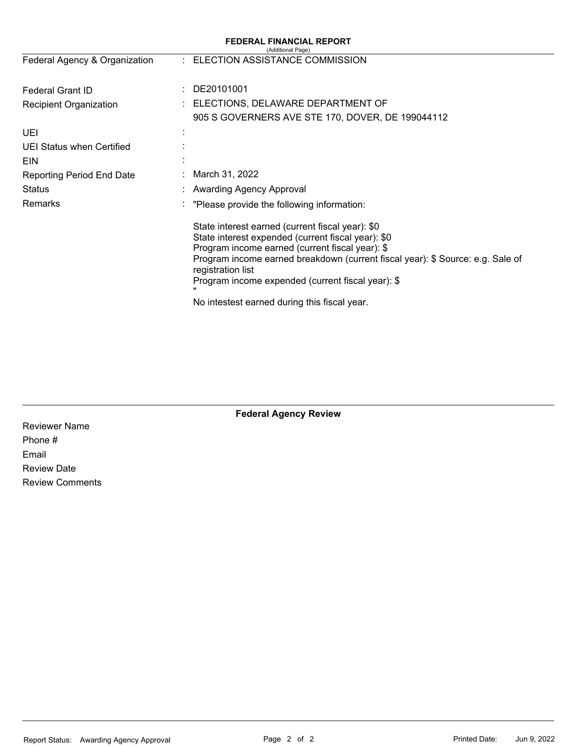| <b>FEDERAL FINANCIAL REPORT</b><br>(Additional Page) |                                                                                                                                                                                                                                                                                                                       |  |  |  |  |
|------------------------------------------------------|-----------------------------------------------------------------------------------------------------------------------------------------------------------------------------------------------------------------------------------------------------------------------------------------------------------------------|--|--|--|--|
| Federal Agency & Organization                        | : ELECTION ASSISTANCE COMMISSION                                                                                                                                                                                                                                                                                      |  |  |  |  |
| <b>Federal Grant ID</b><br>÷                         | DE20101001                                                                                                                                                                                                                                                                                                            |  |  |  |  |
| <b>Recipient Organization</b>                        | ELECTIONS, DELAWARE DEPARTMENT OF                                                                                                                                                                                                                                                                                     |  |  |  |  |
|                                                      | 905 S GOVERNERS AVE STE 170, DOVER, DE 199044112                                                                                                                                                                                                                                                                      |  |  |  |  |
| UEI                                                  |                                                                                                                                                                                                                                                                                                                       |  |  |  |  |
| <b>UEI Status when Certified</b>                     |                                                                                                                                                                                                                                                                                                                       |  |  |  |  |
| EIN                                                  |                                                                                                                                                                                                                                                                                                                       |  |  |  |  |
| Reporting Period End Date                            | March 31, 2022                                                                                                                                                                                                                                                                                                        |  |  |  |  |
| Status                                               | <b>Awarding Agency Approval</b>                                                                                                                                                                                                                                                                                       |  |  |  |  |
| Remarks                                              | "Please provide the following information:                                                                                                                                                                                                                                                                            |  |  |  |  |
|                                                      | State interest earned (current fiscal year): \$0<br>State interest expended (current fiscal year): \$0<br>Program income earned (current fiscal year): \$<br>Program income earned breakdown (current fiscal year): \$ Source: e.g. Sale of<br>registration list<br>Program income expended (current fiscal year): \$ |  |  |  |  |
|                                                      | No intestest earned during this fiscal year.                                                                                                                                                                                                                                                                          |  |  |  |  |

**Federal Agency Review** 

Reviewer Name Phone # Email Review Date Review Comments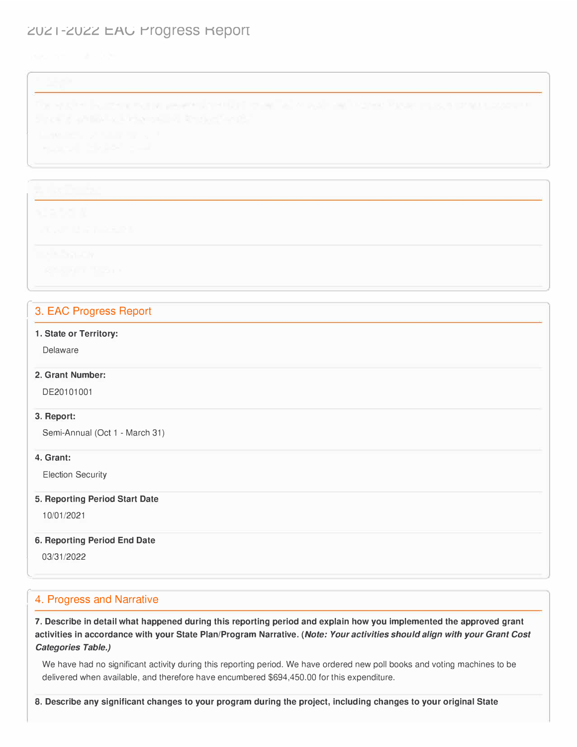# ZUZ I-ZUZZ EAU Progress Report

l

## 3. EAC Progress Report

### **1. State or Territory:**

Delaware

### **2. Grant Number:**

DE20101001

#### **3. Report:**

Semi-Annual (Oct 1 - March 31)

#### **4. Grant:**

Election Security

#### **5. Reporting Period Start Date**

10/01/2021

#### **6. Reporting Period End Date**

03/31/2022

l

## 4. Progress and Narrative

**7. Describe in detail what happened during this reporting period and explain how you implemented the approved grant activities in accordance with your State Plan/Program Narrative.** *(Note: Your activities should align with your Grant Cost Categories Table.)* 

We have had no significant activity during this reporting period. We have ordered new poll books and voting machines to be delivered when available, and therefore have encumbered [\\$694,450.00](https://694,450.00) for this expenditure.

**8. Describe any significant changes to your program during the project, including changes to your original State**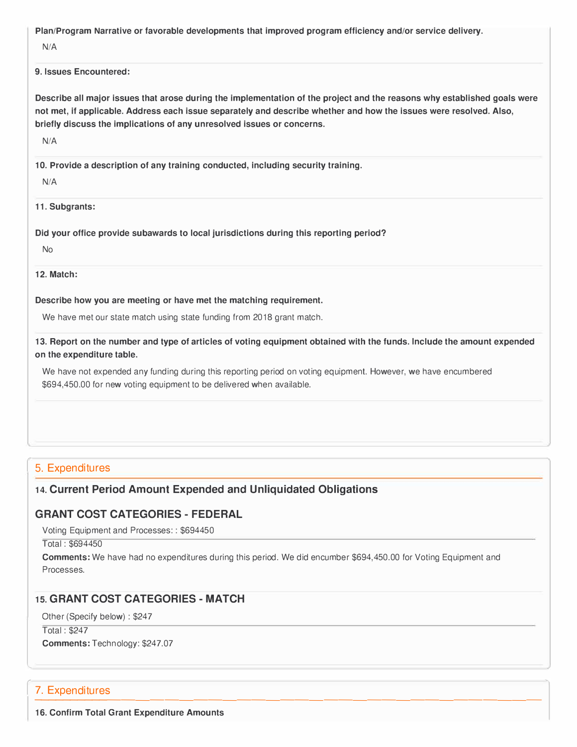**Plan/Program Narrative or favorable developments that improved program efficiency and/or service delivery.** 

N/A

#### **9. Issues Encountered:**

**Describe all major issues that arose during the implementation of the project and the reasons why established goals were not met, if applicable. Address each issue separately and describe whether and how the issues were resolved. Also, briefly discuss the implications of any unresolved issues or concerns.** 

N/A

**10. Provide a description of any training conducted, including security training.**

N/A

**11. Subgrants:**

**Did your office provide subawards to local jurisdictions during this reporting period?** 

No

**12. Match:**

**Describe how you are meeting or have met the matching requirement.** 

We have met our state match using state funding from 2018 grant match.

**13. Report on the number and type of articles of voting equipment obtained with the funds. Include the amount expended on the expenditure table.** 

We have not expended any funding during this reporting period on voting equipment. However, we have encumbered \$[694,450.00](https://694,450.00) for new voting equipment to be delivered when available.

## 5. Expenditures

## **14. Current Period Amount Expended and Unliquidated Obligations**

## **GRANT COST CATEGORIES- FEDERAL**

Voting Equipment and Processes: : \$694450

Total : \$694450

**Comments:** We have had no expenditures during this period. We did encumber \$[694,450.00](https://694,450.00) for Voting Equipment and Processes.

## **15. GRANT COST CATEGORIES- MATCH**

Other (Specify below) : \$247

Total : \$247 l **Comments:** Technology: \$247.07

\_\_\_\_\_\_\_\_\_\_\_\_\_\_\_\_\_\_\_\_\_\_\_\_\_\_\_\_\_ \_\_\_\_\_\_\_\_\_ **7. Expenditures**<br>16. Confirm Total Grant Expenditure Amounts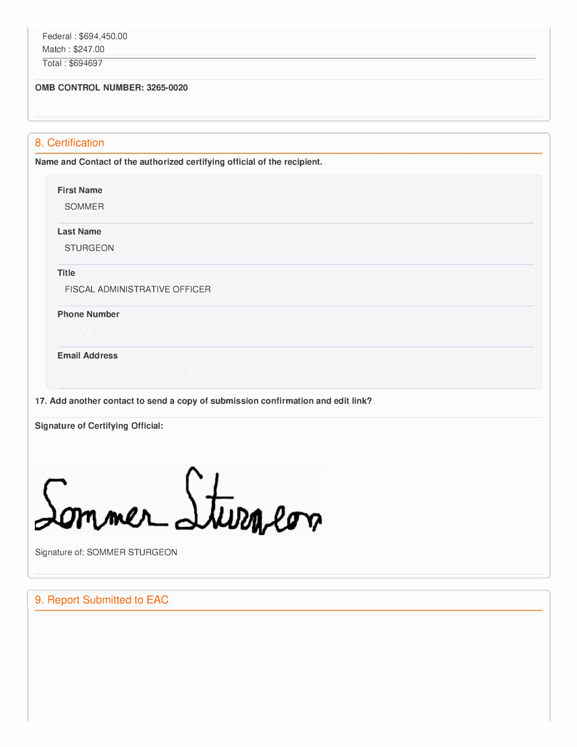Total : \$694697

#### **0MB CONTROL NUMBER: 3265-0020**

## 8. Certification

**Name and Contact of the authorized certifying official of the recipient.** 

#### **First Name**

SOMMER

**Last Name** 

STURGEON

**Title** 

FISCAL ADMINISTRATIVE OFFICER

**Phone Number** 

**Email Address** 

**17. Add another contact to send a copy of submission confirmation and edit link?**

**Signature of Certifying Official:** 

mmer Sturgeon

l Signature of: SOMMER STURGEON

## 9. Report Submitted to EAC